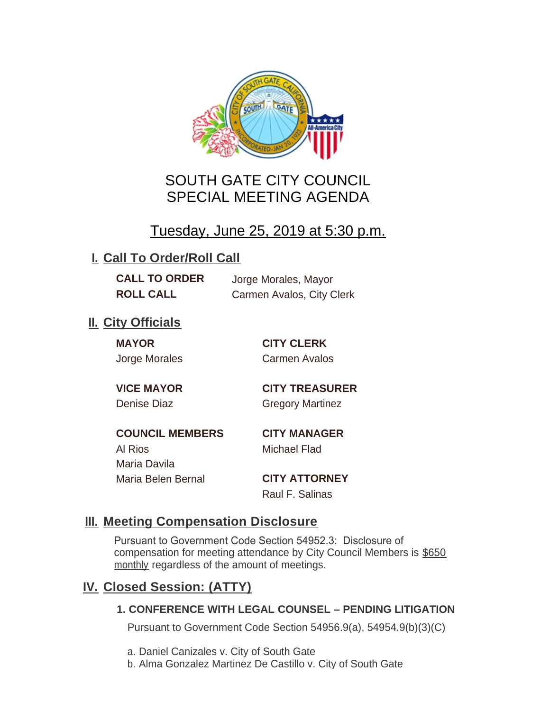

# SOUTH GATE CITY COUNCIL SPECIAL MEETING AGENDA

# Tuesday, June 25, 2019 at 5:30 p.m.

## **I. Call To Order/Roll Call**

**CALL TO ORDER** Jorge Morales, Mayor

**ROLL CALL** Carmen Avalos, City Clerk

## **II.** City Officials

**MAYOR CITY CLERK**

Jorge Morales Carmen Avalos

**VICE MAYOR CITY TREASURER** Denise Diaz Gregory Martinez

**COUNCIL MEMBERS CITY MANAGER** Al Rios Michael Flad Maria Davila Maria Belen Bernal **CITY ATTORNEY**

Raul F. Salinas

### **Meeting Compensation Disclosure III.**

Pursuant to Government Code Section 54952.3: Disclosure of compensation for meeting attendance by City Council Members is \$650 monthly regardless of the amount of meetings.

## **Closed Session: (ATTY) IV.**

#### **1. CONFERENCE WITH LEGAL COUNSEL – PENDING LITIGATION**

Pursuant to Government Code Section 54956.9(a), 54954.9(b)(3)(C)

- a. Daniel Canizales v. City of South Gate
- b. Alma Gonzalez Martinez De Castillo v. City of South Gate